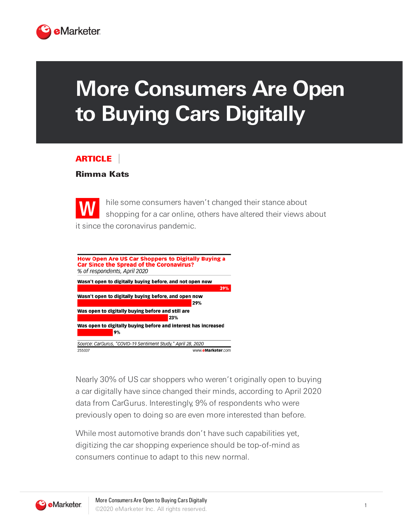

## **More Consumers Are Open to Buying Cars Digitally**

## ARTICLE

## Rimma Kats

**W** hile some consumers haven't changed their stance about shopping for a car online, others have altered their views about it since the coronavirus pandemic.



Nearly 30% of US car shoppers who weren't originally open to buying a car digitally have since changed their minds, according to April 2020 data from CarGurus. Interestingly, 9% of respondents who were previously open to doing so are even more interested than before.

While most automotive brands don't have such capabilities yet, digitizing the car shopping experience should be top-of-mind as consumers continue to adapt to this new normal.